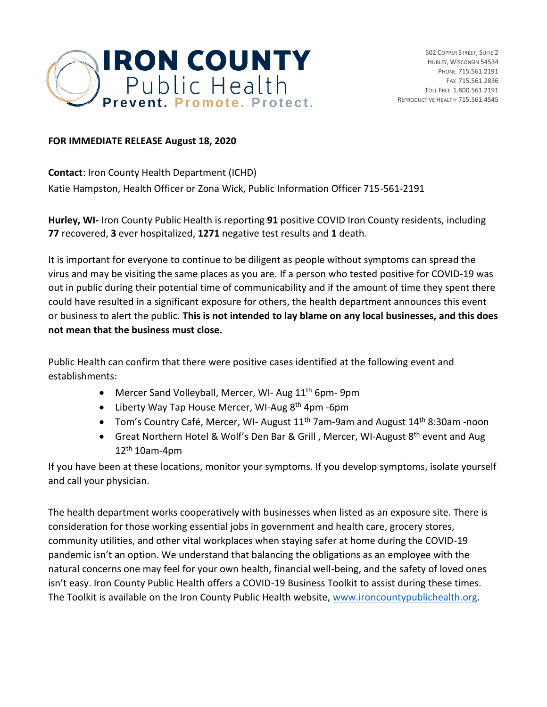

## **FOR IMMEDIATE RELEASE August 18, 2020**

**Contact**: Iron County Health Department (ICHD) Katie Hampston, Health Officer or Zona Wick, Public Information Officer 715-561-2191

**Hurley, WI-** Iron County Public Health is reporting **91** positive COVID Iron County residents, including **77** recovered, **3** ever hospitalized, **1271** negative test results and **1** death.

It is important for everyone to continue to be diligent as people without symptoms can spread the virus and may be visiting the same places as you are. If a person who tested positive for COVID-19 was out in public during their potential time of communicability and if the amount of time they spent there could have resulted in a significant exposure for others, the health department announces this event or business to alert the public. **This is not intended to lay blame on any local businesses, and this does not mean that the business must close.** 

Public Health can confirm that there were positive cases identified at the following event and establishments:

- Mercer Sand Volleyball, Mercer, WI- Aug 11<sup>th</sup> 6pm- 9pm
- Liberty Way Tap House Mercer, WI-Aug 8<sup>th</sup> 4pm -6pm
- Tom's Country Café, Mercer, WI- August  $11<sup>th</sup>$  7am-9am and August  $14<sup>th</sup>$  8:30am -noon
- Great Northern Hotel & Wolf's Den Bar & Grill, Mercer, WI-August 8<sup>th</sup> event and Aug  $12<sup>th</sup> 10$ am-4pm

If you have been at these locations, monitor your symptoms. If you develop symptoms, isolate yourself and call your physician.

The health department works cooperatively with businesses when listed as an exposure site. There is consideration for those working essential jobs in government and health care, grocery stores, community utilities, and other vital workplaces when staying safer at home during the COVID-19 pandemic isn't an option. We understand that balancing the obligations as an employee with the natural concerns one may feel for your own health, financial well-being, and the safety of loved ones isn't easy. Iron County Public Health offers a COVID-19 Business Toolkit to assist during these times. The Toolkit is available on the Iron County Public Health website, [www.ironcountypublichealth.org.](http://www.ironcountypublichealth.org/)